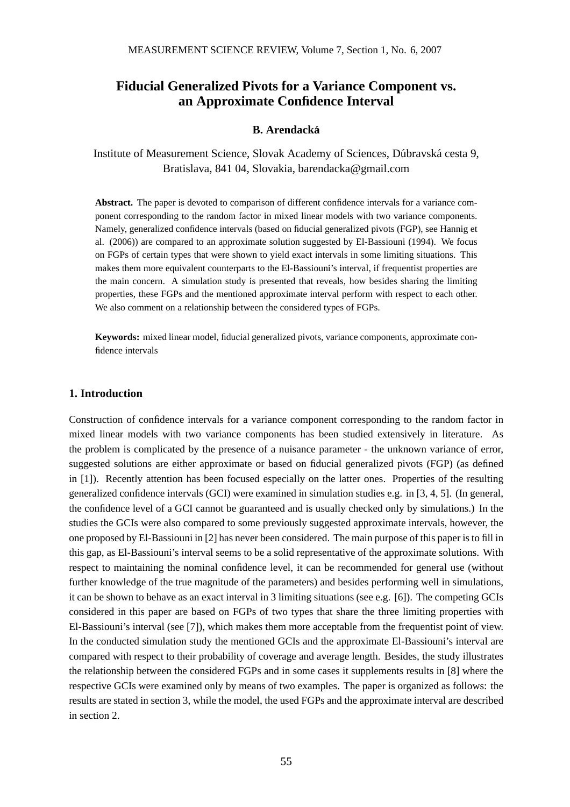# **Fiducial Generalized Pivots for a Variance Component vs. an Approximate Confidence Interval**

# **B. Arendacka´**

Institute of Measurement Science, Slovak Academy of Sciences, Dúbravská cesta 9, Bratislava, 841 04, Slovakia, barendacka@gmail.com

**Abstract.** The paper is devoted to comparison of different confidence intervals for a variance component corresponding to the random factor in mixed linear models with two variance components. Namely, generalized confidence intervals (based on fiducial generalized pivots (FGP), see Hannig et al. (2006)) are compared to an approximate solution suggested by El-Bassiouni (1994). We focus on FGPs of certain types that were shown to yield exact intervals in some limiting situations. This makes them more equivalent counterparts to the El-Bassiouni's interval, if frequentist properties are the main concern. A simulation study is presented that reveals, how besides sharing the limiting properties, these FGPs and the mentioned approximate interval perform with respect to each other. We also comment on a relationship between the considered types of FGPs.

**Keywords:** mixed linear model, fiducial generalized pivots, variance components, approximate confidence intervals

# **1. Introduction**

Construction of confidence intervals for a variance component corresponding to the random factor in mixed linear models with two variance components has been studied extensively in literature. As the problem is complicated by the presence of a nuisance parameter - the unknown variance of error, suggested solutions are either approximate or based on fiducial generalized pivots (FGP) (as defined in [1]). Recently attention has been focused especially on the latter ones. Properties of the resulting generalized confidence intervals (GCI) were examined in simulation studies e.g. in [3, 4, 5]. (In general, the confidence level of a GCI cannot be guaranteed and is usually checked only by simulations.) In the studies the GCIs were also compared to some previously suggested approximate intervals, however, the one proposed by El-Bassiouni in [2] has never been considered. The main purpose of this paper is to fill in this gap, as El-Bassiouni's interval seems to be a solid representative of the approximate solutions. With respect to maintaining the nominal confidence level, it can be recommended for general use (without further knowledge of the true magnitude of the parameters) and besides performing well in simulations, it can be shown to behave as an exact interval in 3 limiting situations (see e.g. [6]). The competing GCIs considered in this paper are based on FGPs of two types that share the three limiting properties with El-Bassiouni's interval (see [7]), which makes them more acceptable from the frequentist point of view. In the conducted simulation study the mentioned GCIs and the approximate El-Bassiouni's interval are compared with respect to their probability of coverage and average length. Besides, the study illustrates the relationship between the considered FGPs and in some cases it supplements results in [8] where the respective GCIs were examined only by means of two examples. The paper is organized as follows: the results are stated in section 3, while the model, the used FGPs and the approximate interval are described in section 2.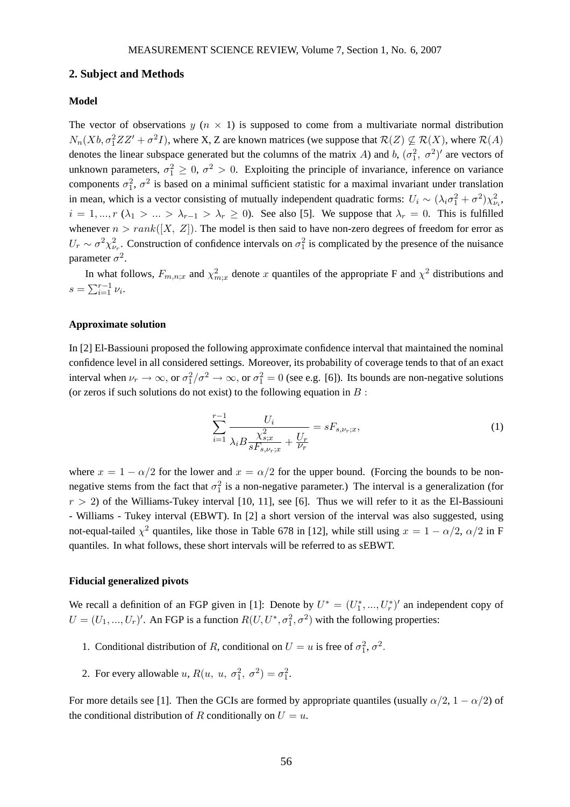# **2. Subject and Methods**

#### **Model**

The vector of observations y ( $n \times 1$ ) is supposed to come from a multivariate normal distribution  $N_n(Xb, \sigma_1^2ZZ' + \sigma^2I)$ , where X, Z are known matrices (we suppose that  $\mathcal{R}(Z) \nsubseteq \mathcal{R}(X)$ , where  $\mathcal{R}(A)$ denotes the linear subspace generated but the columns of the matrix A) and b,  $(\sigma_1^2, \sigma^2)'$  are vectors of unknown parameters,  $\sigma_1^2 \geq 0$ ,  $\sigma^2 > 0$ . Exploiting the principle of invariance, inference on variance components  $\sigma_1^2$ ,  $\sigma^2$  is based on a minimal sufficient statistic for a maximal invariant under translation in mean, which is a vector consisting of mutually independent quadratic forms:  $U_i \sim (\lambda_i \sigma_1^2 + \sigma^2) \chi^2_{\nu_i}$ ,  $i = 1, ..., r \ (\lambda_1 > ... > \lambda_{r-1} > \lambda_r \ge 0)$ . See also [5]. We suppose that  $\lambda_r = 0$ . This is fulfilled whenever  $n > rank([X, Z])$ . The model is then said to have non-zero degrees of freedom for error as  $U_r \sim \sigma^2 \chi^2_{\nu_r}$ . Construction of confidence intervals on  $\sigma_1^2$  is complicated by the presence of the nuisance parameter  $\sigma^2$ .

In what follows,  $F_{m,n;x}$  and  $\chi^2_{m;x}$  denote x quantiles of the appropriate F and  $\chi^2$  distributions and  $s = \sum_{i=1}^{r-1} \nu_i.$ 

#### **Approximate solution**

In [2] El-Bassiouni proposed the following approximate confidence interval that maintained the nominal confidence level in all considered settings. Moreover, its probability of coverage tends to that of an exact interval when  $\nu_r \to \infty$ , or  $\sigma_1^2/\sigma^2 \to \infty$ , or  $\sigma_1^2 = 0$  (see e.g. [6]). Its bounds are non-negative solutions (or zeros if such solutions do not exist) to the following equation in  $B$ :

$$
\sum_{i=1}^{r-1} \frac{U_i}{\lambda_i B \frac{\chi_{s;x}^2}{sF_{s,\nu_r;x}} + \frac{U_r}{\nu_r}} = sF_{s,\nu_r;x},\tag{1}
$$

where  $x = 1 - \alpha/2$  for the lower and  $x = \alpha/2$  for the upper bound. (Forcing the bounds to be nonnegative stems from the fact that  $\sigma_1^2$  is a non-negative parameter.) The interval is a generalization (for  $r > 2$ ) of the Williams-Tukey interval [10, 11], see [6]. Thus we will refer to it as the El-Bassiouni - Williams - Tukey interval (EBWT). In [2] a short version of the interval was also suggested, using not-equal-tailed  $\chi^2$  quantiles, like those in Table 678 in [12], while still using  $x = 1 - \alpha/2$ ,  $\alpha/2$  in F quantiles. In what follows, these short intervals will be referred to as sEBWT.

# **Fiducial generalized pivots**

We recall a definition of an FGP given in [1]: Denote by  $U^* = (U_1^*)$  $(t_1^*,...,t_r^*)'$  an independent copy of  $U = (U_1, ..., U_r)'$ . An FGP is a function  $R(U, U^*, \sigma_1^2, \sigma^2)$  with the following properties:

- 1. Conditional distribution of R, conditional on  $U = u$  is free of  $\sigma_1^2$ ,  $\sigma^2$ .
- 2. For every allowable u,  $R(u, u, \sigma_1^2, \sigma^2) = \sigma_1^2$ .

For more details see [1]. Then the GCIs are formed by appropriate quantiles (usually  $\alpha/2$ ,  $1 - \alpha/2$ ) of the conditional distribution of R conditionally on  $U = u$ .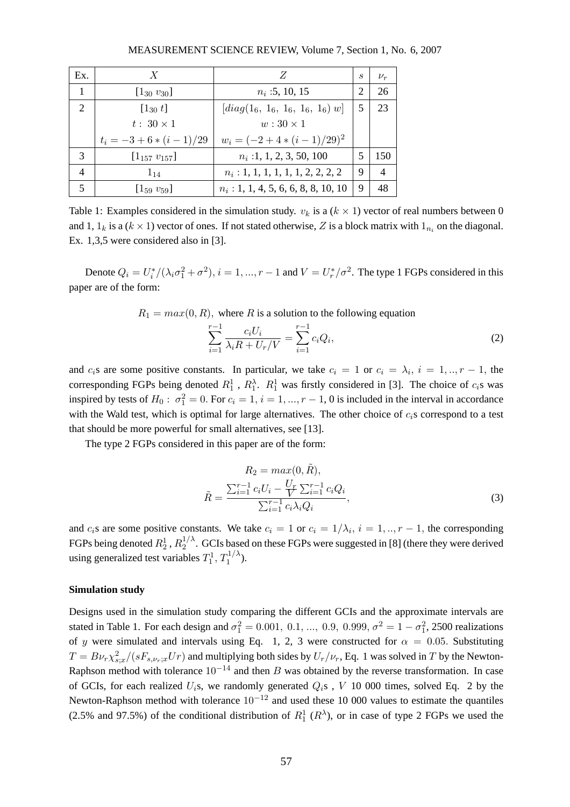| Ex.           | $\boldsymbol{X}$            | Z                                                        | $\mathcal{S}_{\mathcal{S}}$ | $\nu_r$        |
|---------------|-----------------------------|----------------------------------------------------------|-----------------------------|----------------|
| 1             | $[1_{30} v_{30}]$           | $n_i$ : 5, 10, 15                                        |                             | 26             |
| $\mathcal{D}$ | $[1_{30} t]$                | $\left[diag(1_{6}, 1_{6}, 1_{6}, 1_{6}, 1_{6}) w\right]$ |                             | 23             |
|               | $t: 30 \times 1$            | $w:30\times1$                                            |                             |                |
|               | $t_i = -3 + 6 * (i - 1)/29$ | $w_i = (-2 + 4 * (i - 1)/29)^2$                          |                             |                |
|               |                             |                                                          |                             |                |
| $\mathcal{R}$ | $[1_{157} v_{157}]$         | $n_i$ :1, 1, 2, 3, 50, 100                               |                             | 150            |
| 4             | $1_{14}$                    | $n_i: 1, 1, 1, 1, 1, 1, 2, 2, 2, 2$                      | 9                           | $\overline{4}$ |

Table 1: Examples considered in the simulation study.  $v_k$  is a ( $k \times 1$ ) vector of real numbers between 0 and 1,  $1_k$  is a  $(k \times 1)$  vector of ones. If not stated otherwise, Z is a block matrix with  $1_{n_i}$  on the diagonal. Ex. 1,3,5 were considered also in [3].

Denote  $Q_i = U_i^*$  $i^*/(\lambda_i \sigma_1^2 + \sigma^2), i = 1, ..., r - 1$  and  $V = U_r^*/\sigma^2$ . The type 1 FGPs considered in this paper are of the form:

 $R_1 = max(0, R)$ , where R is a solution to the following equation

$$
\sum_{i=1}^{r-1} \frac{c_i U_i}{\lambda_i R + U_r / V} = \sum_{i=1}^{r-1} c_i Q_i,
$$
\n(2)

and  $c_i$ s are some positive constants. In particular, we take  $c_i = 1$  or  $c_i = \lambda_i$ ,  $i = 1, ..., r - 1$ , the corresponding FGPs being denoted  $R_1^1$ ,  $R_1^{\lambda}$ .  $R_1^1$  was firstly considered in [3]. The choice of  $c_i$ s was inspired by tests of  $H_0: \sigma_1^2 = 0$ . For  $c_i = 1, i = 1, ..., r - 1, 0$  is included in the interval in accordance with the Wald test, which is optimal for large alternatives. The other choice of  $c_i$ s correspond to a test that should be more powerful for small alternatives, see [13].

The type 2 FGPs considered in this paper are of the form:

$$
R_2 = max(0, \tilde{R}),
$$
  

$$
\tilde{R} = \frac{\sum_{i=1}^{r-1} c_i U_i - \frac{U_r}{V} \sum_{i=1}^{r-1} c_i Q_i}{\sum_{i=1}^{r-1} c_i \lambda_i Q_i},
$$
 (3)

and  $c_i$ s are some positive constants. We take  $c_i = 1$  or  $c_i = 1/\lambda_i$ ,  $i = 1, ..., r - 1$ , the corresponding FGPs being denoted  $R_2^1$  ,  $R_2^{1/\lambda}$  $2^{1/\lambda}$ . GCIs based on these FGPs were suggested in [8] (there they were derived using generalized test variables  $T_1^1, T_1^{1/\lambda}$ ).

#### **Simulation study**

Designs used in the simulation study comparing the different GCIs and the approximate intervals are stated in Table 1. For each design and  $\sigma_1^2 = 0.001, 0.1, ..., 0.9, 0.999, \sigma^2 = 1 - \sigma_1^2$ , 2500 realizations of y were simulated and intervals using Eq. 1, 2, 3 were constructed for  $\alpha = 0.05$ . Substituting  $T = B \nu_r \chi^2_{s;x}/(s F_{s,\nu_r;x} U r)$  and multiplying both sides by  $U_r/\nu_r$ , Eq. 1 was solved in T by the Newton-Raphson method with tolerance  $10^{-14}$  and then B was obtained by the reverse transformation. In case of GCIs, for each realized  $U_i$ s, we randomly generated  $Q_i$ s,  $V$  10 000 times, solved Eq. 2 by the Newton-Raphson method with tolerance  $10^{-12}$  and used these 10 000 values to estimate the quantiles (2.5% and 97.5%) of the conditional distribution of  $R_1^1$  ( $R^{\lambda}$ ), or in case of type 2 FGPs we used the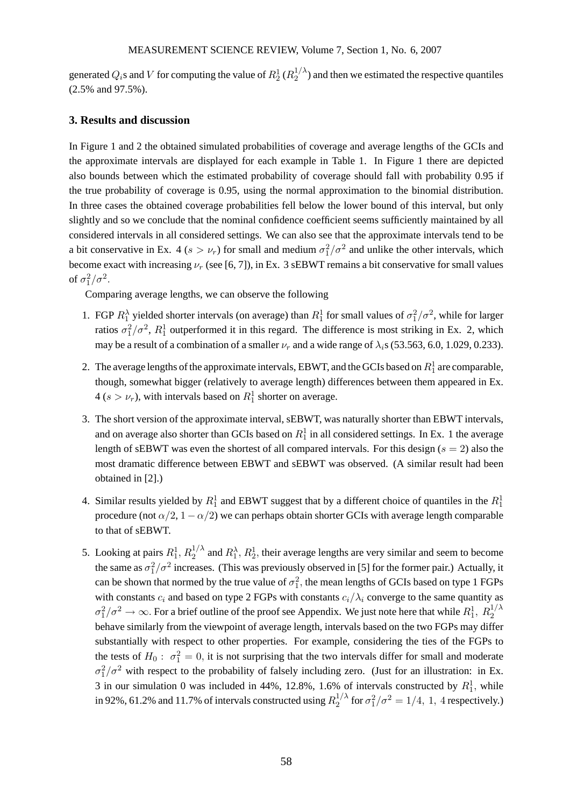generated  $Q_i$ s and  $V$  for computing the value of  $R_2^1(R_2^{1/\lambda})$  $2^{1/2}$ ) and then we estimated the respective quantiles (2.5% and 97.5%).

# **3. Results and discussion**

In Figure 1 and 2 the obtained simulated probabilities of coverage and average lengths of the GCIs and the approximate intervals are displayed for each example in Table 1. In Figure 1 there are depicted also bounds between which the estimated probability of coverage should fall with probability 0.95 if the true probability of coverage is 0.95, using the normal approximation to the binomial distribution. In three cases the obtained coverage probabilities fell below the lower bound of this interval, but only slightly and so we conclude that the nominal confidence coefficient seems sufficiently maintained by all considered intervals in all considered settings. We can also see that the approximate intervals tend to be a bit conservative in Ex. 4 ( $s > \nu_r$ ) for small and medium  $\sigma_1^2/\sigma^2$  and unlike the other intervals, which become exact with increasing  $\nu_r$  (see [6, 7]), in Ex. 3 sEBWT remains a bit conservative for small values of  $\sigma_1^2/\sigma^2$ .

Comparing average lengths, we can observe the following

- 1. FGP  $R_1^{\lambda}$  yielded shorter intervals (on average) than  $R_1^1$  for small values of  $\sigma_1^2/\sigma^2$ , while for larger ratios  $\sigma_1^2/\sigma^2$ ,  $R_1^1$  outperformed it in this regard. The difference is most striking in Ex. 2, which may be a result of a combination of a smaller  $\nu_r$  and a wide range of  $\lambda_i$ s (53.563, 6.0, 1.029, 0.233).
- 2. The average lengths of the approximate intervals, EBWT, and the GCIs based on  $R_1^1$  are comparable, though, somewhat bigger (relatively to average length) differences between them appeared in Ex.  $4 (s > \nu_r)$ , with intervals based on  $R_1^1$  shorter on average.
- 3. The short version of the approximate interval, sEBWT, was naturally shorter than EBWT intervals, and on average also shorter than GCIs based on  $R_1^1$  in all considered settings. In Ex. 1 the average length of sEBWT was even the shortest of all compared intervals. For this design ( $s = 2$ ) also the most dramatic difference between EBWT and sEBWT was observed. (A similar result had been obtained in [2].)
- 4. Similar results yielded by  $R_1^1$  and EBWT suggest that by a different choice of quantiles in the  $R_1^1$ procedure (not  $\alpha/2$ ,  $1 - \alpha/2$ ) we can perhaps obtain shorter GCIs with average length comparable to that of sEBWT.
- 5. Looking at pairs  $R_1^1, R_2^{1/\lambda}$  and  $R_1^{\lambda}, R_2^1$ , their average lengths are very similar and seem to become the same as  $\sigma_1^2/\sigma^2$  increases. (This was previously observed in [5] for the former pair.) Actually, it can be shown that normed by the true value of  $\sigma_1^2$ , the mean lengths of GCIs based on type 1 FGPs with constants  $c_i$  and based on type 2 FGPs with constants  $c_i/\lambda_i$  converge to the same quantity as  $\sigma_1^2/\sigma^2 \to \infty$ . For a brief outline of the proof see Appendix. We just note here that while  $R_1^1, R_2^{1/\lambda}$ behave similarly from the viewpoint of average length, intervals based on the two FGPs may differ substantially with respect to other properties. For example, considering the ties of the FGPs to the tests of  $H_0: \sigma_1^2 = 0$ , it is not surprising that the two intervals differ for small and moderate  $\sigma_1^2/\sigma^2$  with respect to the probability of falsely including zero. (Just for an illustration: in Ex. 3 in our simulation 0 was included in 44%, 12.8%, 1.6% of intervals constructed by  $R_1^1$ , while in 92%, 61.2% and 11.7% of intervals constructed using  $R_2^{1/\lambda}$  $\int_2^{1/\lambda}$  for  $\sigma_1^2/\sigma^2 = 1/4$ , 1, 4 respectively.)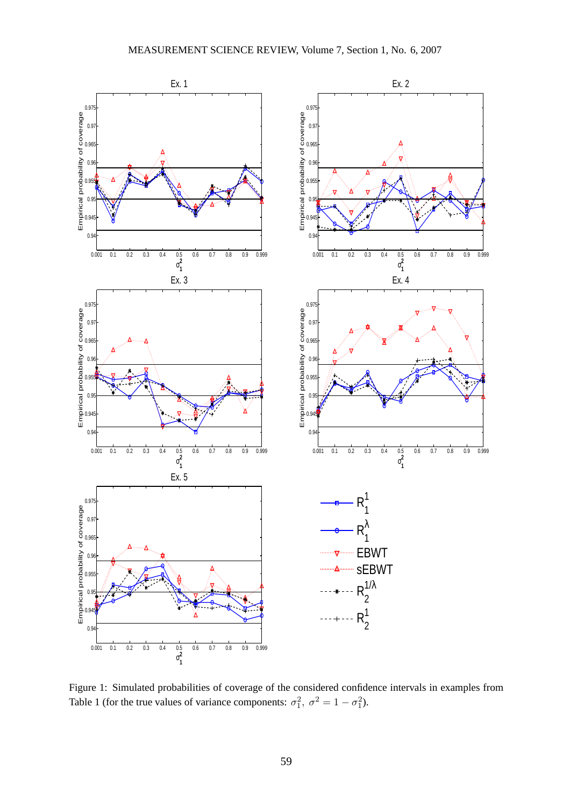

Figure 1: Simulated probabilities of coverage of the considered confidence intervals in examples from Table 1 (for the true values of variance components:  $\sigma_1^2$ ,  $\sigma^2 = 1 - \sigma_1^2$ ).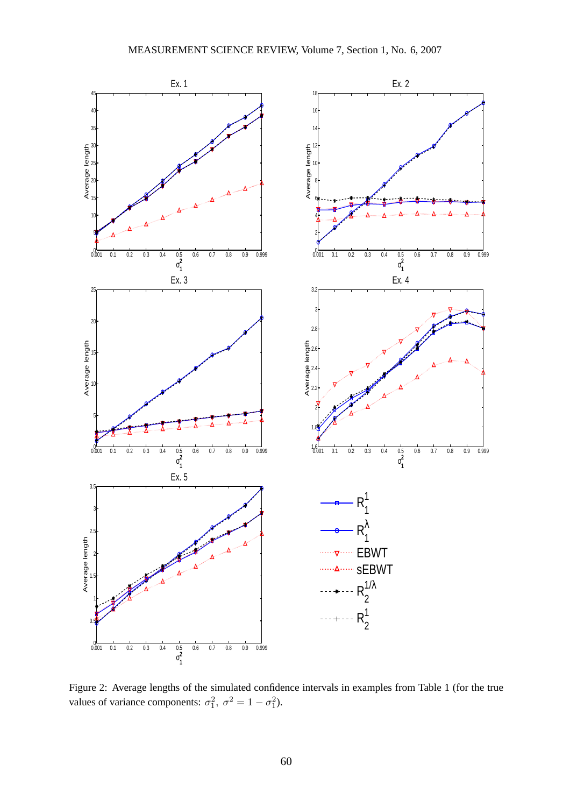

Figure 2: Average lengths of the simulated confidence intervals in examples from Table 1 (for the true values of variance components:  $\sigma_1^2$ ,  $\sigma^2 = 1 - \sigma_1^2$ ).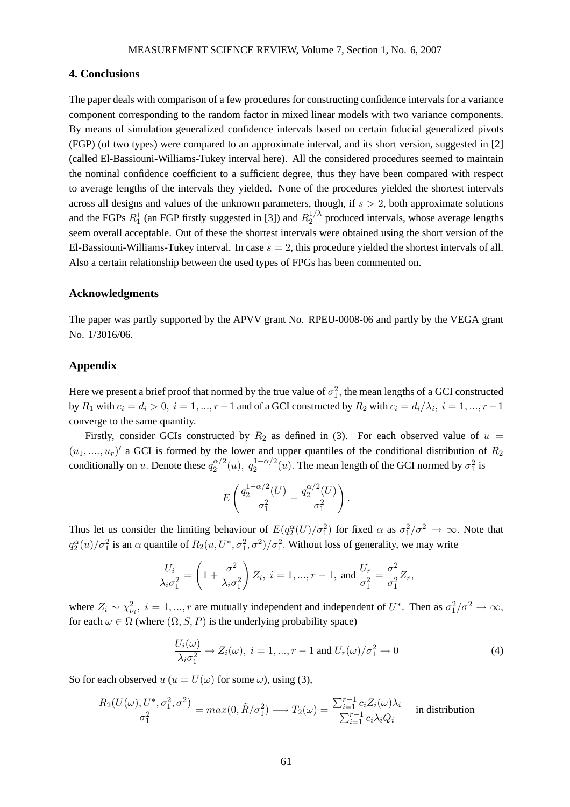# **4. Conclusions**

The paper deals with comparison of a few procedures for constructing confidence intervals for a variance component corresponding to the random factor in mixed linear models with two variance components. By means of simulation generalized confidence intervals based on certain fiducial generalized pivots (FGP) (of two types) were compared to an approximate interval, and its short version, suggested in [2] (called El-Bassiouni-Williams-Tukey interval here). All the considered procedures seemed to maintain the nominal confidence coefficient to a sufficient degree, thus they have been compared with respect to average lengths of the intervals they yielded. None of the procedures yielded the shortest intervals across all designs and values of the unknown parameters, though, if  $s > 2$ , both approximate solutions and the FGPs  $R_1^1$  (an FGP firstly suggested in [3]) and  $R_2^{1/\lambda}$  $2^{1/\lambda}$  produced intervals, whose average lengths seem overall acceptable. Out of these the shortest intervals were obtained using the short version of the El-Bassiouni-Williams-Tukey interval. In case  $s = 2$ , this procedure vielded the shortest intervals of all. Also a certain relationship between the used types of FPGs has been commented on.

## **Acknowledgments**

The paper was partly supported by the APVV grant No. RPEU-0008-06 and partly by the VEGA grant No. 1/3016/06.

## **Appendix**

Here we present a brief proof that normed by the true value of  $\sigma_1^2$ , the mean lengths of a GCI constructed by  $R_1$  with  $c_i = d_i > 0$ ,  $i = 1, ..., r-1$  and of a GCI constructed by  $R_2$  with  $c_i = d_i/\lambda_i$ ,  $i = 1, ..., r-1$ converge to the same quantity.

Firstly, consider GCIs constructed by  $R_2$  as defined in (3). For each observed value of  $u =$  $(u_1, ..., u_r)'$  a GCI is formed by the lower and upper quantiles of the conditional distribution of  $R_2$ conditionally on u. Denote these  $q_2^{\alpha/2}$  $a_2^{(\alpha/2)}(u), q_2^{1-\alpha/2}$  $\frac{1-\alpha}{2}(u)$ . The mean length of the GCI normed by  $\sigma_1^2$  is

$$
E\left(\frac{q_2^{1-\alpha/2}(U)}{\sigma_1^2} - \frac{q_2^{\alpha/2}(U)}{\sigma_1^2}\right).
$$

Thus let us consider the limiting behaviour of  $E(q_2^{\alpha}(U)/\sigma_1^2)$  for fixed  $\alpha$  as  $\sigma_1^2/\sigma^2 \to \infty$ . Note that  $q_2^{\alpha}(u)/\sigma_1^2$  is an  $\alpha$  quantile of  $R_2(u, U^*, \sigma_1^2, \sigma^2)/\sigma_1^2$ . Without loss of generality, we may write

$$
\frac{U_i}{\lambda_i \sigma_1^2} = \left(1 + \frac{\sigma^2}{\lambda_i \sigma_1^2}\right) Z_i, \ i = 1, ..., r - 1, \text{ and } \frac{U_r}{\sigma_1^2} = \frac{\sigma^2}{\sigma_1^2} Z_r,
$$

where  $Z_i \sim \chi^2_{\nu_i}$ ,  $i = 1, ..., r$  are mutually independent and independent of  $U^*$ . Then as  $\sigma_1^2/\sigma^2 \to \infty$ , for each  $\omega \in \Omega$  (where  $(\Omega, S, P)$  is the underlying probability space)

$$
\frac{U_i(\omega)}{\lambda_i \sigma_1^2} \to Z_i(\omega), \ i = 1, ..., r - 1 \text{ and } U_r(\omega) / \sigma_1^2 \to 0
$$
 (4)

So for each observed  $u (u = U(\omega))$  for some  $\omega$ ), using (3),

$$
\frac{R_2(U(\omega),U^*,\sigma_1^2,\sigma^2)}{\sigma_1^2} = max(0,\tilde{R}/\sigma_1^2) \longrightarrow T_2(\omega) = \frac{\sum_{i=1}^{r-1} c_i Z_i(\omega) \lambda_i}{\sum_{i=1}^{r-1} c_i \lambda_i Q_i}
$$
 in distribution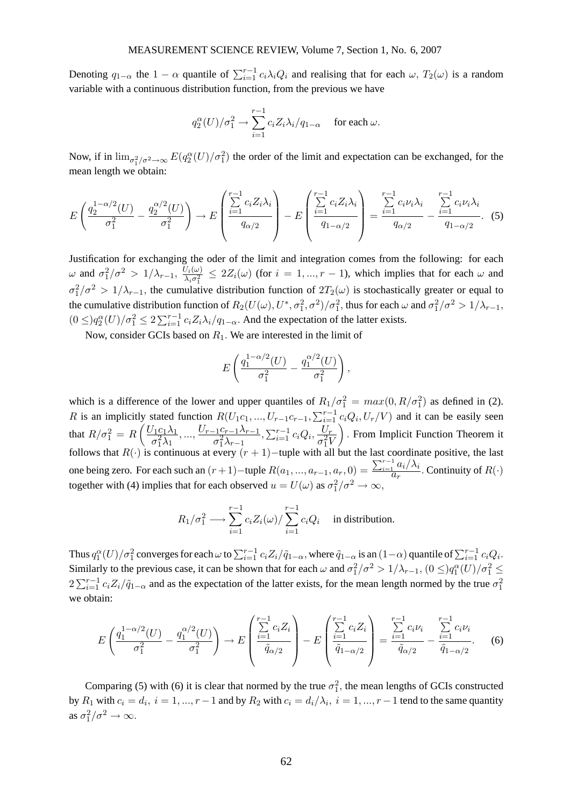Denoting  $q_{1-\alpha}$  the  $1-\alpha$  quantile of  $\sum_{i=1}^{r-1} c_i \lambda_i Q_i$  and realising that for each  $\omega$ ,  $T_2(\omega)$  is a random variable with a continuous distribution function, from the previous we have

$$
q_2^{\alpha}(U)/\sigma_1^2 \to \sum_{i=1}^{r-1} c_i Z_i \lambda_i/q_{1-\alpha} \quad \text{ for each } \omega.
$$

Now, if in  $\lim_{\sigma_1^2/\sigma^2\to\infty} E(q_2^{\alpha}(U)/\sigma_1^2)$  the order of the limit and expectation can be exchanged, for the mean length we obtain:

$$
E\left(\frac{q_2^{1-\alpha/2}(U)}{\sigma_1^2} - \frac{q_2^{\alpha/2}(U)}{\sigma_1^2}\right) \to E\left(\frac{\sum_{i=1}^{r-1} c_i Z_i \lambda_i}{q_{\alpha/2}}\right) - E\left(\frac{\sum_{i=1}^{r-1} c_i Z_i \lambda_i}{q_{1-\alpha/2}}\right) = \frac{\sum_{i=1}^{r-1} c_i \nu_i \lambda_i}{q_{\alpha/2}} - \frac{\sum_{i=1}^{r-1} c_i \nu_i \lambda_i}{q_{1-\alpha/2}}.
$$
 (5)

Justification for exchanging the oder of the limit and integration comes from the following: for each  $\omega$  and  $\sigma_1^2/\sigma^2 > 1/\lambda_{r-1}, \frac{U_i(\omega)}{\lambda_i \sigma_1^2}$  $\frac{\partial u_i(\omega)}{\partial_i \sigma_1^2} \leq 2Z_i(\omega)$  (for  $i = 1, ..., r - 1$ ), which implies that for each  $\omega$  and  $\sigma_1^2/\sigma^2 > 1/\lambda_{r-1}$ , the cumulative distribution function of  $2T_2(\omega)$  is stochastically greater or equal to the cumulative distribution function of  $R_2(U(\omega),U^*,\sigma_1^2,\sigma^2)/\sigma_1^2$ , thus for each  $\omega$  and  $\sigma_1^2/\sigma^2 > 1/\lambda_{r-1}$ ,  $(0 \leq) q_2^{\alpha}(U)/\sigma_1^2 \leq 2 \sum_{i=1}^{r-1} c_i Z_i \lambda_i / q_{1-\alpha}$ . And the expectation of the latter exists.

Now, consider GCIs based on  $R_1$ . We are interested in the limit of

$$
E\left(\frac{q_1^{1-\alpha/2}(U)}{\sigma_1^2} - \frac{q_1^{\alpha/2}(U)}{\sigma_1^2}\right),\,
$$

which is a difference of the lower and upper quantiles of  $R_1/\sigma_1^2 = max(0, R/\sigma_1^2)$  as defined in (2). R is an implicitly stated function  $R(U_1c_1, ..., U_{r-1}c_{r-1}, \sum_{i=1}^{r-1} c_iQ_i, U_r/V)$  and it can be easily seen that  $R/\sigma_1^2 = R\left(\frac{U_1c_1\lambda_1}{\sigma_1^2\lambda_1}\right)$  $\frac{U_{1}C_{1}\lambda_{1}}{\sigma_{1}^{2}\lambda_{1}},...,\frac{U_{r-1}C_{r-1}\lambda_{r-1}}{\sigma_{1}^{2}\lambda_{r-1}}$  $\frac{1}{\sigma_{1}^{2}\lambda_{r-1}}$ ,  $\sum_{i=1}^{r-1}c_{i}Q_{i}, \frac{U_{r}}{\sigma_{1}^{2}\text{N}}$  $\overline{\sigma_1^2V}$  . From Implicit Function Theorem it follows that  $R(\cdot)$  is continuous at every  $(r + 1)$  –tuple with all but the last coordinate positive, the last one being zero. For each such an  $(r+1)$  – tuple  $R(a_1, ..., a_{r-1}, a_r, 0) = \frac{\sum_{i=1}^{r-1} a_i/\lambda_i}{a_r}$  $\frac{a_1 \cdots a_l}{a_r}$ . Continuity of  $R(\cdot)$ together with (4) implies that for each observed  $u = U(\omega)$  as  $\sigma_1^2/\sigma^2 \to \infty$ ,

$$
R_1/\sigma_1^2 \longrightarrow \sum_{i=1}^{r-1} c_i Z_i(\omega) / \sum_{i=1}^{r-1} c_i Q_i
$$
 in distribution.

Thus  $q_1^{\alpha}(U)/\sigma_1^2$  converges for each  $\omega$  to  $\sum_{i=1}^{r-1} c_i Z_i/\tilde{q}_{1-\alpha}$ , where  $\tilde{q}_{1-\alpha}$  is an  $(1-\alpha)$  quantile of  $\sum_{i=1}^{r-1} c_i Q_i$ . Similarly to the previous case, it can be shown that for each  $\omega$  and  $\sigma_1^2/\sigma^2 > 1/\lambda_{r-1}$ ,  $(0 \le)q_1^{\alpha}(U)/\sigma_1^2 \le$  $2\sum_{i=1}^{r-1} c_i Z_i / \tilde{q}_{1-\alpha}$  and as the expectation of the latter exists, for the mean length normed by the true  $\sigma_1^2$ we obtain:

$$
E\left(\frac{q_1^{1-\alpha/2}(U)}{\sigma_1^2} - \frac{q_1^{\alpha/2}(U)}{\sigma_1^2}\right) \to E\left(\frac{\sum_{i=1}^{r-1} c_i Z_i}{\tilde{q}_{\alpha/2}}\right) - E\left(\frac{\sum_{i=1}^{r-1} c_i Z_i}{\tilde{q}_{1-\alpha/2}}\right) = \frac{\sum_{i=1}^{r-1} c_i \nu_i}{\tilde{q}_{\alpha/2}} - \frac{\sum_{i=1}^{r-1} c_i \nu_i}{\tilde{q}_{1-\alpha/2}}.
$$
 (6)

Comparing (5) with (6) it is clear that normed by the true  $\sigma_1^2$ , the mean lengths of GCIs constructed by  $R_1$  with  $c_i = d_i$ ,  $i = 1, ..., r - 1$  and by  $R_2$  with  $c_i = d_i/\lambda_i$ ,  $i = 1, ..., r - 1$  tend to the same quantity as  $\sigma_1^2/\sigma^2 \to \infty$ .